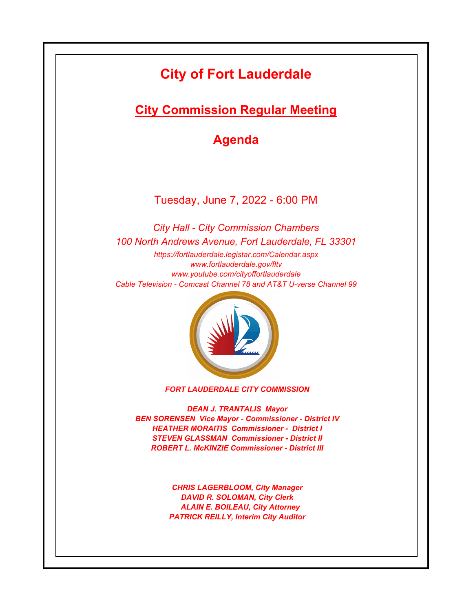# **City of Fort Lauderdale**

**City Commission Regular Meeting**

**Agenda**

Tuesday, June 7, 2022 - 6:00 PM

*https://fortlauderdale.legistar.com/Calendar.aspx www.fortlauderdale.gov/fltv www.youtube.com/cityoffortlauderdale Cable Television - Comcast Channel 78 and AT&T U-verse Channel 99 City Hall - City Commission Chambers 100 North Andrews Avenue, Fort Lauderdale, FL 33301*



*FORT LAUDERDALE CITY COMMISSION*

*DEAN J. TRANTALIS Mayor BEN SORENSEN Vice Mayor - Commissioner - District IV HEATHER MORAITIS Commissioner - District I STEVEN GLASSMAN Commissioner - District II ROBERT L. McKINZIE Commissioner - District III*

> *CHRIS LAGERBLOOM, City Manager DAVID R. SOLOMAN, City Clerk ALAIN E. BOILEAU, City Attorney PATRICK REILLY, Interim City Auditor*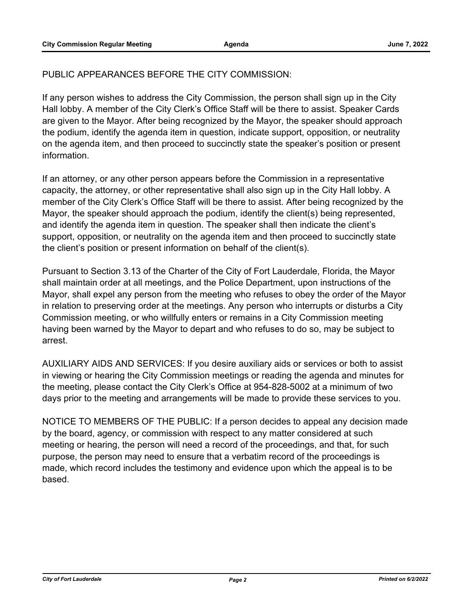# PUBLIC APPEARANCES BEFORE THE CITY COMMISSION:

If any person wishes to address the City Commission, the person shall sign up in the City Hall lobby. A member of the City Clerk's Office Staff will be there to assist. Speaker Cards are given to the Mayor. After being recognized by the Mayor, the speaker should approach the podium, identify the agenda item in question, indicate support, opposition, or neutrality on the agenda item, and then proceed to succinctly state the speaker's position or present information.

If an attorney, or any other person appears before the Commission in a representative capacity, the attorney, or other representative shall also sign up in the City Hall lobby. A member of the City Clerk's Office Staff will be there to assist. After being recognized by the Mayor, the speaker should approach the podium, identify the client(s) being represented, and identify the agenda item in question. The speaker shall then indicate the client's support, opposition, or neutrality on the agenda item and then proceed to succinctly state the client's position or present information on behalf of the client(s).

Pursuant to Section 3.13 of the Charter of the City of Fort Lauderdale, Florida, the Mayor shall maintain order at all meetings, and the Police Department, upon instructions of the Mayor, shall expel any person from the meeting who refuses to obey the order of the Mayor in relation to preserving order at the meetings. Any person who interrupts or disturbs a City Commission meeting, or who willfully enters or remains in a City Commission meeting having been warned by the Mayor to depart and who refuses to do so, may be subject to arrest.

AUXILIARY AIDS AND SERVICES: If you desire auxiliary aids or services or both to assist in viewing or hearing the City Commission meetings or reading the agenda and minutes for the meeting, please contact the City Clerk's Office at 954-828-5002 at a minimum of two days prior to the meeting and arrangements will be made to provide these services to you.

NOTICE TO MEMBERS OF THE PUBLIC: If a person decides to appeal any decision made by the board, agency, or commission with respect to any matter considered at such meeting or hearing, the person will need a record of the proceedings, and that, for such purpose, the person may need to ensure that a verbatim record of the proceedings is made, which record includes the testimony and evidence upon which the appeal is to be based.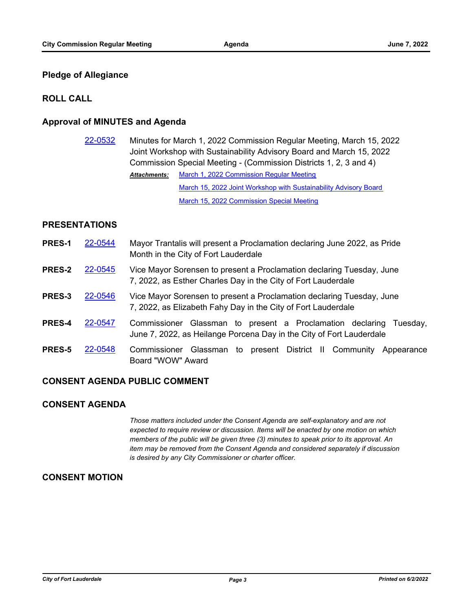#### **Pledge of Allegiance**

#### **ROLL CALL**

#### **Approval of MINUTES and Agenda**

[22-0532](http://fortlauderdale.legistar.com/gateway.aspx?m=l&id=/matter.aspx?key=16652) Minutes for March 1, 2022 Commission Regular Meeting, March 15, 2022 Joint Workshop with Sustainability Advisory Board and March 15, 2022 Commission Special Meeting - (Commission Districts 1, 2, 3 and 4) [March 1, 2022 Commission Regular Meeting](http://FortLauderdale.legistar.com/gateway.aspx?M=F&ID=f1d715e4-9107-43e9-803a-4ab747341d53.pdf) [March 15, 2022 Joint Workshop with Sustainability Advisory Board](http://FortLauderdale.legistar.com/gateway.aspx?M=F&ID=50ec1ff9-06a5-4ef7-876d-79d6fcd4cb6d.pdf) [March 15, 2022 Commission Special Meeting](http://FortLauderdale.legistar.com/gateway.aspx?M=F&ID=dd61f3d7-07e1-43c9-83fa-b43b2762035f.pdf) *Attachments:*

#### **PRESENTATIONS**

- **PRES-1** [22-0544](http://fortlauderdale.legistar.com/gateway.aspx?m=l&id=/matter.aspx?key=16664) Mayor Trantalis will present a Proclamation declaring June 2022, as Pride Month in the City of Fort Lauderdale
- **PRES-2** [22-0545](http://fortlauderdale.legistar.com/gateway.aspx?m=l&id=/matter.aspx?key=16665) Vice Mayor Sorensen to present a Proclamation declaring Tuesday, June 7, 2022, as Esther Charles Day in the City of Fort Lauderdale
- **PRES-3** [22-0546](http://fortlauderdale.legistar.com/gateway.aspx?m=l&id=/matter.aspx?key=16666) Vice Mayor Sorensen to present a Proclamation declaring Tuesday, June 7, 2022, as Elizabeth Fahy Day in the City of Fort Lauderdale
- **PRES-4** [22-0547](http://fortlauderdale.legistar.com/gateway.aspx?m=l&id=/matter.aspx?key=16667) Commissioner Glassman to present a Proclamation declaring Tuesday, June 7, 2022, as Heilange Porcena Day in the City of Fort Lauderdale
- **PRES-5** [22-0548](http://fortlauderdale.legistar.com/gateway.aspx?m=l&id=/matter.aspx?key=16668) Commissioner Glassman to present District II Community Appearance Board "WOW" Award

#### **CONSENT AGENDA PUBLIC COMMENT**

### **CONSENT AGENDA**

*Those matters included under the Consent Agenda are self-explanatory and are not expected to require review or discussion. Items will be enacted by one motion on which members of the public will be given three (3) minutes to speak prior to its approval. An item may be removed from the Consent Agenda and considered separately if discussion is desired by any City Commissioner or charter officer.*

### **CONSENT MOTION**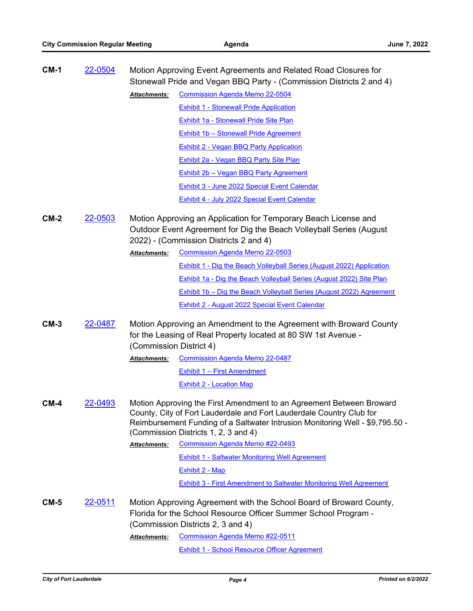| <b>CM-1</b> | 22-0504        | Motion Approving Event Agreements and Related Road Closures for<br>Stonewall Pride and Vegan BBQ Party - (Commission Districts 2 and 4)                                                                                                                               |                                                                                                                                                                             |  |
|-------------|----------------|-----------------------------------------------------------------------------------------------------------------------------------------------------------------------------------------------------------------------------------------------------------------------|-----------------------------------------------------------------------------------------------------------------------------------------------------------------------------|--|
|             |                | <b>Attachments:</b>                                                                                                                                                                                                                                                   | <b>Commission Agenda Memo 22-0504</b>                                                                                                                                       |  |
|             |                |                                                                                                                                                                                                                                                                       | <b>Exhibit 1 - Stonewall Pride Application</b>                                                                                                                              |  |
|             |                |                                                                                                                                                                                                                                                                       | <b>Exhibit 1a - Stonewall Pride Site Plan</b>                                                                                                                               |  |
|             |                |                                                                                                                                                                                                                                                                       | <b>Exhibit 1b - Stonewall Pride Agreement</b>                                                                                                                               |  |
|             |                |                                                                                                                                                                                                                                                                       | <b>Exhibit 2 - Vegan BBQ Party Application</b>                                                                                                                              |  |
|             |                |                                                                                                                                                                                                                                                                       | Exhibit 2a - Vegan BBQ Party Site Plan                                                                                                                                      |  |
|             |                |                                                                                                                                                                                                                                                                       | <b>Exhibit 2b - Vegan BBQ Party Agreement</b>                                                                                                                               |  |
|             |                |                                                                                                                                                                                                                                                                       | Exhibit 3 - June 2022 Special Event Calendar                                                                                                                                |  |
|             |                |                                                                                                                                                                                                                                                                       | <b>Exhibit 4 - July 2022 Special Event Calendar</b>                                                                                                                         |  |
| <b>CM-2</b> | 22-0503        | Motion Approving an Application for Temporary Beach License and<br>Outdoor Event Agreement for Dig the Beach Volleyball Series (August<br>2022) - (Commission Districts 2 and 4)                                                                                      |                                                                                                                                                                             |  |
|             |                | <b>Attachments:</b>                                                                                                                                                                                                                                                   | <b>Commission Agenda Memo 22-0503</b>                                                                                                                                       |  |
|             |                |                                                                                                                                                                                                                                                                       | <b>Exhibit 1 - Dig the Beach Volleyball Series (August 2022) Application</b>                                                                                                |  |
|             |                |                                                                                                                                                                                                                                                                       | <b>Exhibit 1a - Dig the Beach Volleyball Series (August 2022) Site Plan</b>                                                                                                 |  |
|             |                |                                                                                                                                                                                                                                                                       | Exhibit 1b - Dig the Beach Volleyball Series (August 2022) Agreement                                                                                                        |  |
|             |                |                                                                                                                                                                                                                                                                       | <b>Exhibit 2 - August 2022 Special Event Calendar</b>                                                                                                                       |  |
| CM-3        | 22-0487        | Motion Approving an Amendment to the Agreement with Broward County<br>for the Leasing of Real Property located at 80 SW 1st Avenue -<br>(Commission District 4)                                                                                                       |                                                                                                                                                                             |  |
|             |                | Attachments:                                                                                                                                                                                                                                                          | <b>Commission Agenda Memo 22-0487</b>                                                                                                                                       |  |
|             |                |                                                                                                                                                                                                                                                                       | <b>Exhibit 1 - First Amendment</b>                                                                                                                                          |  |
|             |                |                                                                                                                                                                                                                                                                       | <b>Exhibit 2 - Location Map</b>                                                                                                                                             |  |
| <b>CM-4</b> | 22-0493        | Motion Approving the First Amendment to an Agreement Between Broward<br>County, City of Fort Lauderdale and Fort Lauderdale Country Club for<br>Reimbursement Funding of a Saltwater Intrusion Monitoring Well - \$9,795.50 -<br>(Commission Districts 1, 2, 3 and 4) |                                                                                                                                                                             |  |
|             |                | Attachments:                                                                                                                                                                                                                                                          | <b>Commission Agenda Memo #22-0493</b>                                                                                                                                      |  |
|             |                |                                                                                                                                                                                                                                                                       | <b>Exhibit 1 - Saltwater Monitoring Well Agreement</b>                                                                                                                      |  |
|             |                |                                                                                                                                                                                                                                                                       | Exhibit 2 - Map                                                                                                                                                             |  |
|             |                |                                                                                                                                                                                                                                                                       | <b>Exhibit 3 - First Amendment to Saltwater Monitoring Well Agreement</b>                                                                                                   |  |
| CM-5        | <u>22-0511</u> |                                                                                                                                                                                                                                                                       | Motion Approving Agreement with the School Board of Broward County,<br>Florida for the School Resource Officer Summer School Program -<br>(Commission Districts 2, 3 and 4) |  |
|             |                | Attachments:                                                                                                                                                                                                                                                          | <b>Commission Agenda Memo #22-0511</b>                                                                                                                                      |  |

[Exhibit 1 - School Resource Officer Agreement](http://FortLauderdale.legistar.com/gateway.aspx?M=F&ID=0bb4bda8-b8b0-4e1e-a309-b779e2b091d3.pdf)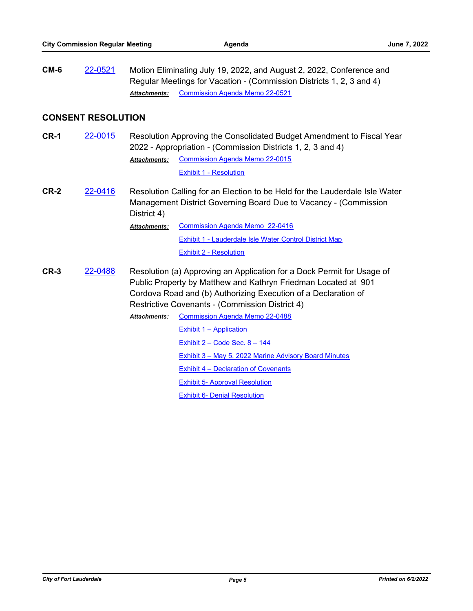**CM-6** [22-0521](http://fortlauderdale.legistar.com/gateway.aspx?m=l&id=/matter.aspx?key=16641) Motion Eliminating July 19, 2022, and August 2, 2022, Conference and Regular Meetings for Vacation - (Commission Districts 1, 2, 3 and 4) *Attachments:* [Commission Agenda Memo 22-0521](http://FortLauderdale.legistar.com/gateway.aspx?M=F&ID=abc1957b-0a04-4b51-8422-10d78da68904.docx)

#### **CONSENT RESOLUTION**

- **CR-1** [22-0015](http://fortlauderdale.legistar.com/gateway.aspx?m=l&id=/matter.aspx?key=16137) Resolution Approving the Consolidated Budget Amendment to Fiscal Year 2022 - Appropriation - (Commission Districts 1, 2, 3 and 4) [Commission Agenda Memo 22-0015](http://FortLauderdale.legistar.com/gateway.aspx?M=F&ID=6b3ff461-f27a-4be7-bf4f-1a398c5c0aba.docx) [Exhibit 1 - Resolution](http://FortLauderdale.legistar.com/gateway.aspx?M=F&ID=9451d618-5375-4e54-bd94-28bbd214e03f.pdf) *Attachments:*
- **CR-2** [22-0416](http://fortlauderdale.legistar.com/gateway.aspx?m=l&id=/matter.aspx?key=16536) Resolution Calling for an Election to be Held for the Lauderdale Isle Water Management District Governing Board Due to Vacancy - (Commission District 4)
	- [Commission Agenda Memo 22-0416](http://FortLauderdale.legistar.com/gateway.aspx?M=F&ID=e829ea03-4454-4122-b157-2df745dfec2b.docx) [Exhibit 1 - Lauderdale Isle Water Control District Map](http://FortLauderdale.legistar.com/gateway.aspx?M=F&ID=80d14eb8-5bf1-4e5d-8eb4-4ba3f264abba.pdf) [Exhibit 2 - Resolution](http://FortLauderdale.legistar.com/gateway.aspx?M=F&ID=c41b0b01-e14b-4cd4-9cc2-b2ea43207cdc.pdf) *Attachments:*
- **CR-3** [22-0488](http://fortlauderdale.legistar.com/gateway.aspx?m=l&id=/matter.aspx?key=16608) Resolution (a) Approving an Application for a Dock Permit for Usage of Public Property by Matthew and Kathryn Friedman Located at 901 Cordova Road and (b) Authorizing Execution of a Declaration of Restrictive Covenants - (Commission District 4) [Commission Agenda Memo 22-0488](http://FortLauderdale.legistar.com/gateway.aspx?M=F&ID=3312c21c-d5fa-4a86-9365-f9b92d9ad666.docx) *Attachments:* [Exhibit 1 – Application](http://FortLauderdale.legistar.com/gateway.aspx?M=F&ID=a8aba793-bd7e-45c1-81ad-f54fff010dab.pdf) [Exhibit 2 – Code Sec. 8 – 144](http://FortLauderdale.legistar.com/gateway.aspx?M=F&ID=1787dedd-1629-4615-92a1-b5e87134f933.pdf)
	- [Exhibit 3 May 5, 2022 Marine Advisory Board Minutes](http://FortLauderdale.legistar.com/gateway.aspx?M=F&ID=92c49b01-115e-4483-a088-65876a4abbe2.pdf)
	- [Exhibit 4 Declaration of Covenants](http://FortLauderdale.legistar.com/gateway.aspx?M=F&ID=4614cefc-6199-4d84-9e85-39cd965c74b5.pdf)
	- [Exhibit 5- Approval Resolution](http://FortLauderdale.legistar.com/gateway.aspx?M=F&ID=690a9226-c1c4-4b0a-8e5e-e679d0180b54.pdf)
	- [Exhibit 6- Denial Resolution](http://FortLauderdale.legistar.com/gateway.aspx?M=F&ID=7d97d080-9088-441a-86a6-45346c5f19da.pdf)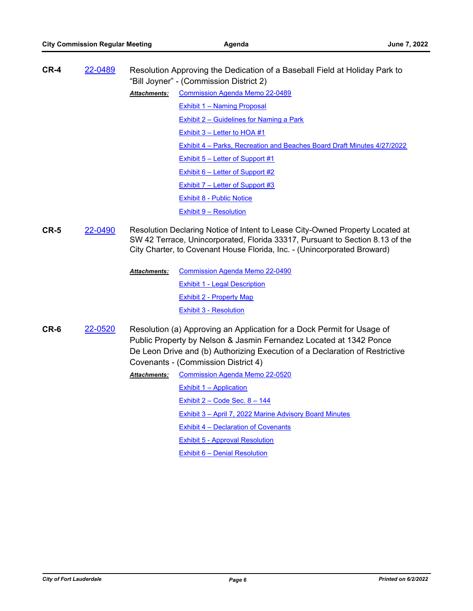| $CR-4$ | 22-0489 | Resolution Approving the Dedication of a Baseball Field at Holiday Park to<br>"Bill Joyner" - (Commission District 2) |                                                                                                                                                                                                                                            |  |
|--------|---------|-----------------------------------------------------------------------------------------------------------------------|--------------------------------------------------------------------------------------------------------------------------------------------------------------------------------------------------------------------------------------------|--|
|        |         | <b>Attachments:</b>                                                                                                   | <b>Commission Agenda Memo 22-0489</b>                                                                                                                                                                                                      |  |
|        |         |                                                                                                                       | <b>Exhibit 1 - Naming Proposal</b>                                                                                                                                                                                                         |  |
|        |         |                                                                                                                       | <b>Exhibit 2 - Guidelines for Naming a Park</b>                                                                                                                                                                                            |  |
|        |         |                                                                                                                       | Exhibit $3$ – Letter to HOA #1                                                                                                                                                                                                             |  |
|        |         |                                                                                                                       | Exhibit 4 – Parks, Recreation and Beaches Board Draft Minutes 4/27/2022                                                                                                                                                                    |  |
|        |         |                                                                                                                       | <b>Exhibit 5 - Letter of Support #1</b>                                                                                                                                                                                                    |  |
|        |         |                                                                                                                       | Exhibit $6$ – Letter of Support #2                                                                                                                                                                                                         |  |
|        |         |                                                                                                                       | Exhibit 7 – Letter of Support #3                                                                                                                                                                                                           |  |
|        |         |                                                                                                                       | <b>Exhibit 8 - Public Notice</b>                                                                                                                                                                                                           |  |
|        |         |                                                                                                                       | <b>Exhibit 9 - Resolution</b>                                                                                                                                                                                                              |  |
| $CR-5$ | 22-0490 |                                                                                                                       | Resolution Declaring Notice of Intent to Lease City-Owned Property Located at<br>SW 42 Terrace, Unincorporated, Florida 33317, Pursuant to Section 8.13 of the<br>City Charter, to Covenant House Florida, Inc. - (Unincorporated Broward) |  |
|        |         | <b>Attachments:</b>                                                                                                   | <b>Commission Agenda Memo 22-0490</b>                                                                                                                                                                                                      |  |
|        |         |                                                                                                                       | <b>Exhibit 1 - Legal Description</b>                                                                                                                                                                                                       |  |
|        |         |                                                                                                                       | <b>Exhibit 2 - Property Map</b>                                                                                                                                                                                                            |  |
|        |         |                                                                                                                       | <b>Exhibit 3 - Resolution</b>                                                                                                                                                                                                              |  |
| CR-6   | 22-0520 |                                                                                                                       | Resolution (a) Approving an Application for a Dock Permit for Usage of<br>Public Property by Nelson & Jasmin Fernandez Located at 1342 Ponce                                                                                               |  |

- De Leon Drive and (b) Authorizing Execution of a Declaration of Restrictive Covenants - (Commission District 4)
	- [Commission Agenda Memo 22-0520](http://FortLauderdale.legistar.com/gateway.aspx?M=F&ID=d625256e-6c07-49d4-8c97-b58665c6a09a.docx) [Exhibit 1 – Application](http://FortLauderdale.legistar.com/gateway.aspx?M=F&ID=816c6583-3b73-4532-be6a-c790675aa56a.pdf) Exhibit  $2$  – Code Sec.  $8$  – 144 [Exhibit 3 – April 7, 2022 Marine Advisory Board Minutes](http://FortLauderdale.legistar.com/gateway.aspx?M=F&ID=2832ea44-350a-439d-9d1b-98fdd7c07ea0.pdf) [Exhibit 4 – Declaration of Covenants](http://FortLauderdale.legistar.com/gateway.aspx?M=F&ID=f1494850-ed49-48df-9c8b-ff6e9afab367.pdf) [Exhibit 5 - Approval Resolution](http://FortLauderdale.legistar.com/gateway.aspx?M=F&ID=dee557b5-5d15-46f9-8f0f-c4c0ad72e5be.pdf) [Exhibit 6 – Denial Resolution](http://FortLauderdale.legistar.com/gateway.aspx?M=F&ID=41a2132e-0d96-448a-83ee-774478957df6.pdf) *Attachments:*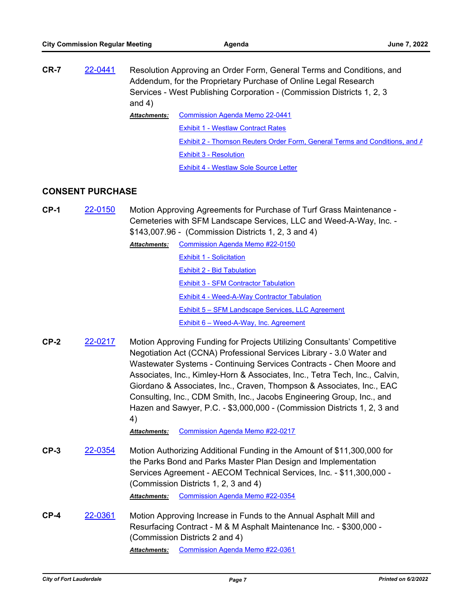**CR-7** [22-0441](http://fortlauderdale.legistar.com/gateway.aspx?m=l&id=/matter.aspx?key=16561) Resolution Approving an Order Form, General Terms and Conditions, and Addendum, for the Proprietary Purchase of Online Legal Research Services - West Publishing Corporation - (Commission Districts 1, 2, 3 and 4) [Commission Agenda Memo 22-0441](http://FortLauderdale.legistar.com/gateway.aspx?M=F&ID=fb1e1679-a392-4b7c-bb98-7e5cbb2e405b.docx) [Exhibit 1 - Westlaw Contract Rates](http://FortLauderdale.legistar.com/gateway.aspx?M=F&ID=31029f38-1a6e-4268-b54a-6937091cb48e.pdf) [Exhibit 2 - Thomson Reuters Order Form, General Terms and Conditions, and A](http://FortLauderdale.legistar.com/gateway.aspx?M=F&ID=2f3e65c4-8ea4-4535-8053-d0ae1d26dbe2.pdf) [Exhibit 3 - Resolution](http://FortLauderdale.legistar.com/gateway.aspx?M=F&ID=0829d7f8-82da-49df-a3cc-135fdc39edc4.pdf) **[Exhibit 4 - Westlaw Sole Source Letter](http://FortLauderdale.legistar.com/gateway.aspx?M=F&ID=55d22b3e-b15d-4aaf-84b8-e80ce8ab31bb.pdf)** *Attachments:*

### **CONSENT PURCHASE**

**CP-1** [22-0150](http://fortlauderdale.legistar.com/gateway.aspx?m=l&id=/matter.aspx?key=16271) Motion Approving Agreements for Purchase of Turf Grass Maintenance - Cemeteries with SFM Landscape Services, LLC and Weed-A-Way, Inc. - \$143,007.96 - (Commission Districts 1, 2, 3 and 4)

> [Commission Agenda Memo #22-0150](http://FortLauderdale.legistar.com/gateway.aspx?M=F&ID=844f964c-143a-44ea-a6cb-405f79a459f4.docx) *Attachments:* [Exhibit 1 - Solicitation](http://FortLauderdale.legistar.com/gateway.aspx?M=F&ID=6777b2aa-f2ec-47e3-9e40-956432b715be.pdf) [Exhibit 2 - Bid Tabulation](http://FortLauderdale.legistar.com/gateway.aspx?M=F&ID=8d71d23b-60ee-40c6-8334-ef730fd5d964.pdf) [Exhibit 3 - SFM Contractor Tabulation](http://FortLauderdale.legistar.com/gateway.aspx?M=F&ID=4cd1472d-750b-4adc-a03a-97a703e7be76.pdf) [Exhibit 4 - Weed-A-Way Contractor Tabulation](http://FortLauderdale.legistar.com/gateway.aspx?M=F&ID=2397e230-0c8d-40f9-88e5-3a9142411d9e.pdf) [Exhibit 5 – SFM Landscape Services, LLC Agreement](http://FortLauderdale.legistar.com/gateway.aspx?M=F&ID=0b1b4398-e9a9-4ae8-af73-7e5772f3cc1f.pdf) [Exhibit 6 – Weed-A-Way, Inc. Agreement](http://FortLauderdale.legistar.com/gateway.aspx?M=F&ID=6530521a-169f-4ed3-8deb-898c8220bf40.pdf)

**CP-2** [22-0217](http://fortlauderdale.legistar.com/gateway.aspx?m=l&id=/matter.aspx?key=16338) Motion Approving Funding for Projects Utilizing Consultants' Competitive Negotiation Act (CCNA) Professional Services Library - 3.0 Water and Wastewater Systems - Continuing Services Contracts - Chen Moore and Associates, Inc., Kimley-Horn & Associates, Inc., Tetra Tech, Inc., Calvin, Giordano & Associates, Inc., Craven, Thompson & Associates, Inc., EAC Consulting, Inc., CDM Smith, Inc., Jacobs Engineering Group, Inc., and Hazen and Sawyer, P.C. - \$3,000,000 - (Commission Districts 1, 2, 3 and 4)

*Attachments:* [Commission Agenda Memo #22-0217](http://FortLauderdale.legistar.com/gateway.aspx?M=F&ID=96d29351-e9eb-4bf1-be78-b66f50a6da82.docx)

- **CP-3** [22-0354](http://fortlauderdale.legistar.com/gateway.aspx?m=l&id=/matter.aspx?key=16474) Motion Authorizing Additional Funding in the Amount of \$11,300,000 for the Parks Bond and Parks Master Plan Design and Implementation Services Agreement - AECOM Technical Services, Inc. - \$11,300,000 - (Commission Districts 1, 2, 3 and 4) *Attachments:* [Commission Agenda Memo #22-0354](http://FortLauderdale.legistar.com/gateway.aspx?M=F&ID=2b7520ed-bd89-4cf1-bcab-c9cb0cf25979.docx)
- **CP-4** [22-0361](http://fortlauderdale.legistar.com/gateway.aspx?m=l&id=/matter.aspx?key=16481) Motion Approving Increase in Funds to the Annual Asphalt Mill and Resurfacing Contract - M & M Asphalt Maintenance Inc. - \$300,000 - (Commission Districts 2 and 4) *Attachments:* [Commission Agenda Memo #22-0361](http://FortLauderdale.legistar.com/gateway.aspx?M=F&ID=f26ec8d0-764c-4d20-99a1-b0229637314d.docx)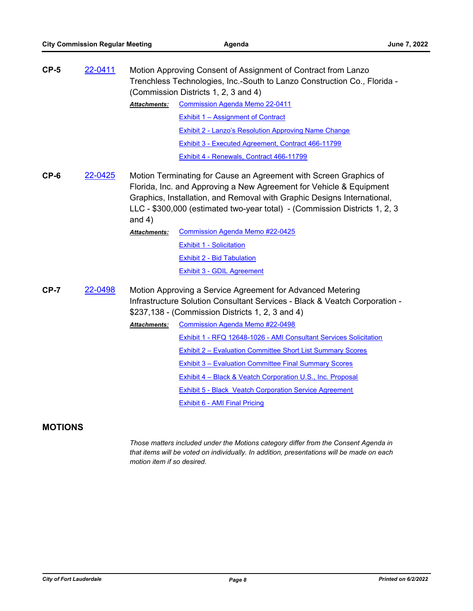| $CP-5$<br>22-0411 |         | Motion Approving Consent of Assignment of Contract from Lanzo<br>Trenchless Technologies, Inc.-South to Lanzo Construction Co., Florida -<br>(Commission Districts 1, 2, 3 and 4)                                                                                                                             |                                                                   |  |
|-------------------|---------|---------------------------------------------------------------------------------------------------------------------------------------------------------------------------------------------------------------------------------------------------------------------------------------------------------------|-------------------------------------------------------------------|--|
|                   |         | <b>Attachments:</b>                                                                                                                                                                                                                                                                                           | <b>Commission Agenda Memo 22-0411</b>                             |  |
|                   |         |                                                                                                                                                                                                                                                                                                               | <b>Exhibit 1 - Assignment of Contract</b>                         |  |
|                   |         |                                                                                                                                                                                                                                                                                                               | <b>Exhibit 2 - Lanzo's Resolution Approving Name Change</b>       |  |
|                   |         |                                                                                                                                                                                                                                                                                                               | <b>Exhibit 3 - Executed Agreement, Contract 466-11799</b>         |  |
|                   |         |                                                                                                                                                                                                                                                                                                               | Exhibit 4 - Renewals, Contract 466-11799                          |  |
| $CP-6$<br>22-0425 |         | Motion Terminating for Cause an Agreement with Screen Graphics of<br>Florida, Inc. and Approving a New Agreement for Vehicle & Equipment<br>Graphics, Installation, and Removal with Graphic Designs International,<br>LLC - \$300,000 (estimated two-year total) - (Commission Districts 1, 2, 3<br>and $4)$ |                                                                   |  |
|                   |         | <b>Attachments:</b>                                                                                                                                                                                                                                                                                           | <b>Commission Agenda Memo #22-0425</b>                            |  |
|                   |         |                                                                                                                                                                                                                                                                                                               | <b>Exhibit 1 - Solicitation</b>                                   |  |
|                   |         |                                                                                                                                                                                                                                                                                                               | <b>Exhibit 2 - Bid Tabulation</b>                                 |  |
|                   |         |                                                                                                                                                                                                                                                                                                               | Exhibit 3 - GDIL Agreement                                        |  |
| $CP-7$            | 22-0498 | Motion Approving a Service Agreement for Advanced Metering<br>Infrastructure Solution Consultant Services - Black & Veatch Corporation -<br>\$237,138 - (Commission Districts 1, 2, 3 and 4)                                                                                                                  |                                                                   |  |
|                   |         | <b>Attachments:</b>                                                                                                                                                                                                                                                                                           | <b>Commission Agenda Memo #22-0498</b>                            |  |
|                   |         |                                                                                                                                                                                                                                                                                                               | Exhibit 1 - RFQ 12648-1026 - AMI Consultant Services Solicitation |  |
|                   |         |                                                                                                                                                                                                                                                                                                               | Exhibit 2 - Evaluation Committee Short List Summary Scores        |  |
|                   |         |                                                                                                                                                                                                                                                                                                               | <b>Exhibit 3 - Evaluation Committee Final Summary Scores</b>      |  |
|                   |         |                                                                                                                                                                                                                                                                                                               | Exhibit 4 – Black & Veatch Corporation U.S., Inc. Proposal        |  |
|                   |         |                                                                                                                                                                                                                                                                                                               | <b>Exhibit 5 - Black Veatch Corporation Service Agreement</b>     |  |
|                   |         |                                                                                                                                                                                                                                                                                                               | Exhibit 6 - AMI Final Pricing                                     |  |

## **MOTIONS**

*Those matters included under the Motions category differ from the Consent Agenda in that items will be voted on individually. In addition, presentations will be made on each motion item if so desired.*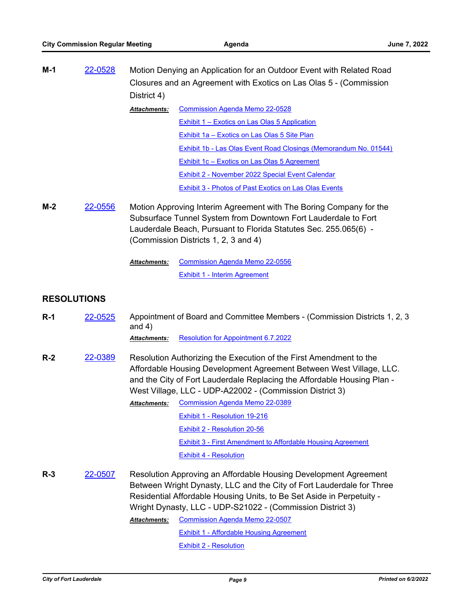| M-1 | 22-0528 | Motion Denying an Application for an Outdoor Event with Related Road |                                               |
|-----|---------|----------------------------------------------------------------------|-----------------------------------------------|
|     |         | Closures and an Agreement with Exotics on Las Olas 5 - (Commission   |                                               |
|     |         | District 4)                                                          |                                               |
|     |         | <b>Attachments:</b>                                                  | <b>Commission Agenda Memo 22-0528</b>         |
|     |         |                                                                      | Exhibit 1 – Exotics on Las Olas 5 Application |

[Exhibit 1a – Exotics on Las Olas 5 Site Plan](http://FortLauderdale.legistar.com/gateway.aspx?M=F&ID=a2731038-4013-4d0c-af0a-ddab56b1eeda.pdf) [Exhibit 1b - Las Olas Event Road Closings \(Memorandum No. 01544\)](http://FortLauderdale.legistar.com/gateway.aspx?M=F&ID=5e66650e-d86e-4fed-99ed-f675130a60f3.pdf) [Exhibit 1c – Exotics on Las Olas 5 Agreement](http://FortLauderdale.legistar.com/gateway.aspx?M=F&ID=dc713893-cba1-4aa1-9011-565cd521f2a6.pdf) [Exhibit 2 - November 2022 Special Event Calendar](http://FortLauderdale.legistar.com/gateway.aspx?M=F&ID=d3379aab-b8fe-494e-a65c-26f60955af90.pdf) [Exhibit 3 - Photos of Past Exotics on Las Olas Events](http://FortLauderdale.legistar.com/gateway.aspx?M=F&ID=008fa84c-0af2-403e-b97c-ef1be659d15b.pdf)

**M-2** [22-0556](http://fortlauderdale.legistar.com/gateway.aspx?m=l&id=/matter.aspx?key=16676) Motion Approving Interim Agreement with The Boring Company for the Subsurface Tunnel System from Downtown Fort Lauderdale to Fort Lauderdale Beach, Pursuant to Florida Statutes Sec. 255.065(6) - (Commission Districts 1, 2, 3 and 4)

> [Commission Agenda Memo 22-0556](http://FortLauderdale.legistar.com/gateway.aspx?M=F&ID=bbb78434-8783-40c0-bc4f-a8dc97b55a9c.docx) [Exhibit 1 - Interim Agreement](http://FortLauderdale.legistar.com/gateway.aspx?M=F&ID=61e6cdbe-2733-4491-92e3-229768c9f6da.pdf) *Attachments:*

### **RESOLUTIONS**

| $R-1$ | 22-0525 | Appointment of Board and Committee Members - (Commission Districts 1, 2, 3)<br>and $4)$                                                                                                                                                                                                                                                                                                                                              |                                                                                                                                                                                                                                                                                                                           |
|-------|---------|--------------------------------------------------------------------------------------------------------------------------------------------------------------------------------------------------------------------------------------------------------------------------------------------------------------------------------------------------------------------------------------------------------------------------------------|---------------------------------------------------------------------------------------------------------------------------------------------------------------------------------------------------------------------------------------------------------------------------------------------------------------------------|
|       |         | <b>Attachments:</b>                                                                                                                                                                                                                                                                                                                                                                                                                  | Resolution for Appointment 6.7.2022                                                                                                                                                                                                                                                                                       |
| $R-2$ | 22-0389 | <b>Attachments:</b>                                                                                                                                                                                                                                                                                                                                                                                                                  | Resolution Authorizing the Execution of the First Amendment to the<br>Affordable Housing Development Agreement Between West Village, LLC.<br>and the City of Fort Lauderdale Replacing the Affordable Housing Plan -<br>West Village, LLC - UDP-A22002 - (Commission District 3)<br><b>Commission Agenda Memo 22-0389</b> |
|       |         |                                                                                                                                                                                                                                                                                                                                                                                                                                      | Exhibit 1 - Resolution 19-216                                                                                                                                                                                                                                                                                             |
|       |         |                                                                                                                                                                                                                                                                                                                                                                                                                                      | Exhibit 2 - Resolution 20-56                                                                                                                                                                                                                                                                                              |
|       |         |                                                                                                                                                                                                                                                                                                                                                                                                                                      | <b>Exhibit 3 - First Amendment to Affordable Housing Agreement</b>                                                                                                                                                                                                                                                        |
|       |         |                                                                                                                                                                                                                                                                                                                                                                                                                                      | <b>Exhibit 4 - Resolution</b>                                                                                                                                                                                                                                                                                             |
| $R-3$ | 22-0507 | Resolution Approving an Affordable Housing Development Agreement<br>Between Wright Dynasty, LLC and the City of Fort Lauderdale for Three<br>Residential Affordable Housing Units, to Be Set Aside in Perpetuity -<br>Wright Dynasty, LLC - UDP-S21022 - (Commission District 3)<br><b>Commission Agenda Memo 22-0507</b><br><b>Attachments:</b><br><b>Exhibit 1 - Affordable Housing Agreement</b><br><b>Exhibit 2 - Resolution</b> |                                                                                                                                                                                                                                                                                                                           |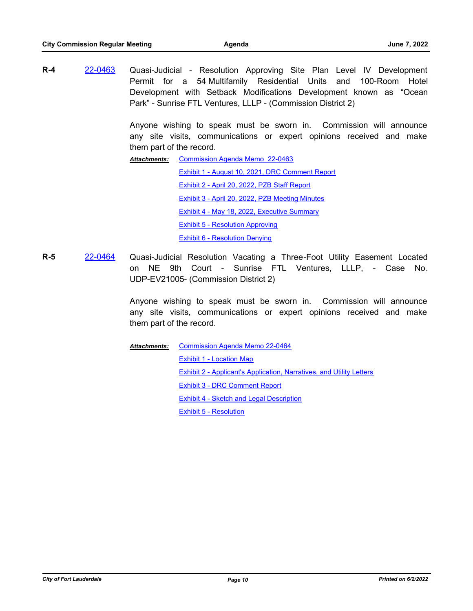**R-4** [22-0463](http://fortlauderdale.legistar.com/gateway.aspx?m=l&id=/matter.aspx?key=16583) Quasi-Judicial - Resolution Approving Site Plan Level IV Development Permit for a 54 Multifamily Residential Units and 100-Room Hotel Development with Setback Modifications Development known as "Ocean Park" - Sunrise FTL Ventures, LLLP - (Commission District 2)

> Anyone wishing to speak must be sworn in. Commission will announce any site visits, communications or expert opinions received and make them part of the record.

[Commission Agenda Memo 22-0463](http://FortLauderdale.legistar.com/gateway.aspx?M=F&ID=1aa1e7ca-bfb6-44d9-8343-6e2b7ac4d699.docx) [Exhibit 1 - August 10, 2021, DRC Comment Report](http://FortLauderdale.legistar.com/gateway.aspx?M=F&ID=56274241-9a92-474c-a4cf-3dc50902e0b7.pdf) [Exhibit 2 - April 20, 2022, PZB Staff Report](http://FortLauderdale.legistar.com/gateway.aspx?M=F&ID=46b2d877-3c5e-46d4-996c-4382975b8de9.pdf) [Exhibit 3 - April 20, 2022, PZB Meeting Minutes](http://FortLauderdale.legistar.com/gateway.aspx?M=F&ID=e1c7a3dd-7b35-410d-9465-82c56c56f5d2.pdf) [Exhibit 4 - May 18, 2022, Executive Summary](http://FortLauderdale.legistar.com/gateway.aspx?M=F&ID=24726365-1021-45d6-bf36-9cd16fc99c6f.pdf) [Exhibit 5 - Resolution Approving](http://FortLauderdale.legistar.com/gateway.aspx?M=F&ID=2476f175-3e98-4e13-8a8e-c6044b80cb25.pdf) [Exhibit 6 - Resolution Denying](http://FortLauderdale.legistar.com/gateway.aspx?M=F&ID=3eb15009-9d28-4110-9ef7-84b4f60c0e00.pdf) *Attachments:*

**R-5** [22-0464](http://fortlauderdale.legistar.com/gateway.aspx?m=l&id=/matter.aspx?key=16584) Quasi-Judicial Resolution Vacating a Three-Foot Utility Easement Located on NE 9th Court - Sunrise FTL Ventures, LLLP, - Case No. UDP-EV21005- (Commission District 2)

> Anyone wishing to speak must be sworn in. Commission will announce any site visits, communications or expert opinions received and make them part of the record.

[Commission Agenda Memo 22-0464](http://FortLauderdale.legistar.com/gateway.aspx?M=F&ID=ee3b850d-8354-4d7a-b7df-24b7ec2086c2.docx) [Exhibit 1 - Location Map](http://FortLauderdale.legistar.com/gateway.aspx?M=F&ID=d08e620c-1053-4c6b-ba41-addaf07b49ea.pdf) [Exhibit 2 - Applicant's Application, Narratives, and Utility Letters](http://FortLauderdale.legistar.com/gateway.aspx?M=F&ID=e66f4457-8015-4e0e-8980-cd6a1fe758dd.pdf) [Exhibit 3 - DRC Comment Report](http://FortLauderdale.legistar.com/gateway.aspx?M=F&ID=6343b8fc-556f-4665-8859-aaffa547aae4.pdf) [Exhibit 4 - Sketch and Legal Description](http://FortLauderdale.legistar.com/gateway.aspx?M=F&ID=671c788d-cc9e-4e1c-b83c-da4adfd4d82e.pdf) [Exhibit 5 - Resolution](http://FortLauderdale.legistar.com/gateway.aspx?M=F&ID=69a3b210-0291-473e-8024-3c10a1ff0f06.pdf) *Attachments:*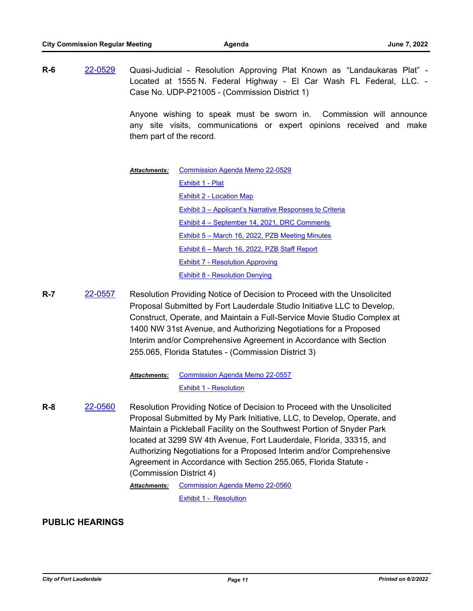**R-6** [22-0529](http://fortlauderdale.legistar.com/gateway.aspx?m=l&id=/matter.aspx?key=16649) Quasi-Judicial - Resolution Approving Plat Known as "Landaukaras Plat" - Located at 1555 N. Federal Highway - El Car Wash FL Federal, LLC. - Case No. UDP-P21005 - (Commission District 1)

> Anyone wishing to speak must be sworn in. Commission will announce any site visits, communications or expert opinions received and make them part of the record.

- [Commission Agenda Memo 22-0529](http://FortLauderdale.legistar.com/gateway.aspx?M=F&ID=1a547b2b-2b0a-4169-851f-470d584cc12d.docx) [Exhibit 1 - Plat](http://FortLauderdale.legistar.com/gateway.aspx?M=F&ID=b77ae5b4-ce36-405e-9dbd-89178d8666bf.pdf) [Exhibit 2 - Location Map](http://FortLauderdale.legistar.com/gateway.aspx?M=F&ID=8745523f-8dfb-453b-a067-0f0ce8d7f1bc.pdf) [Exhibit 3 – Applicant's Narrative Responses to Criteria](http://FortLauderdale.legistar.com/gateway.aspx?M=F&ID=8fd51eaa-245d-45da-b6b5-de84cf45dd6f.pdf) [Exhibit 4 – September 14, 2021, DRC Comments](http://FortLauderdale.legistar.com/gateway.aspx?M=F&ID=a083982e-db3a-464e-91df-d328720ce07f.pdf) [Exhibit 5 – March 16, 2022, PZB Meeting Minutes](http://FortLauderdale.legistar.com/gateway.aspx?M=F&ID=392bef52-04d9-4879-96c3-87ff83e656fa.pdf) [Exhibit 6 – March 16, 2022, PZB Staff Report](http://FortLauderdale.legistar.com/gateway.aspx?M=F&ID=3e11e4a1-39f0-4005-be17-57efe1daac8c.pdf) [Exhibit 7 - Resolution Approving](http://FortLauderdale.legistar.com/gateway.aspx?M=F&ID=ae7929a5-7966-452f-aadb-542c58ac16d3.pdf) [Exhibit 8 - Resolution Denying](http://FortLauderdale.legistar.com/gateway.aspx?M=F&ID=8ea9c109-4fba-4086-b315-4bdfb6bba63d.pdf) *Attachments:*
- **R-7** [22-0557](http://fortlauderdale.legistar.com/gateway.aspx?m=l&id=/matter.aspx?key=16677) Resolution Providing Notice of Decision to Proceed with the Unsolicited Proposal Submitted by Fort Lauderdale Studio Initiative LLC to Develop, Construct, Operate, and Maintain a Full-Service Movie Studio Complex at 1400 NW 31st Avenue, and Authorizing Negotiations for a Proposed Interim and/or Comprehensive Agreement in Accordance with Section 255.065, Florida Statutes - (Commission District 3)

#### [Commission Agenda Memo 22-0557](http://FortLauderdale.legistar.com/gateway.aspx?M=F&ID=cf8cdb71-cee2-4775-b7f6-54ed873ff92b.docx) *Attachments:*

#### [Exhibit 1 - Resolution](http://FortLauderdale.legistar.com/gateway.aspx?M=F&ID=1df05254-3ede-43c0-8918-109035e8c594.pdf)

**R-8** [22-0560](http://fortlauderdale.legistar.com/gateway.aspx?m=l&id=/matter.aspx?key=16680) Resolution Providing Notice of Decision to Proceed with the Unsolicited Proposal Submitted by My Park Initiative, LLC, to Develop, Operate, and Maintain a Pickleball Facility on the Southwest Portion of Snyder Park located at 3299 SW 4th Avenue, Fort Lauderdale, Florida, 33315, and Authorizing Negotiations for a Proposed Interim and/or Comprehensive Agreement in Accordance with Section 255.065, Florida Statute - (Commission District 4) [Commission Agenda Memo 22-0560](http://FortLauderdale.legistar.com/gateway.aspx?M=F&ID=c9434558-4a0d-43e9-a97c-0eb2af95e288.docx) *Attachments:*

[Exhibit 1 - Resolution](http://FortLauderdale.legistar.com/gateway.aspx?M=F&ID=38689a81-ad59-45e4-8852-b9058897134b.pdf)

#### **PUBLIC HEARINGS**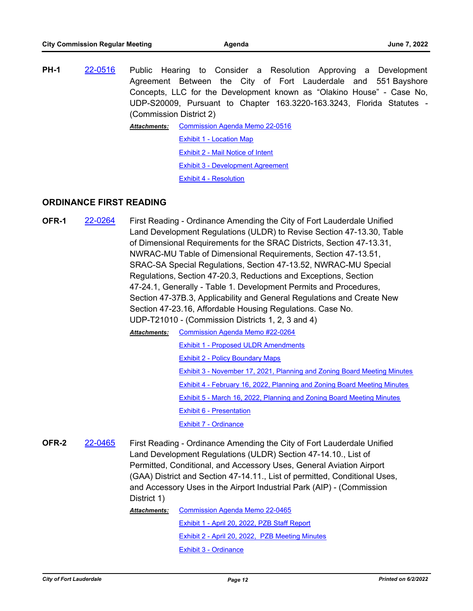**PH-1** [22-0516](http://fortlauderdale.legistar.com/gateway.aspx?m=l&id=/matter.aspx?key=16636) Public Hearing to Consider a Resolution Approving a Development Agreement Between the City of Fort Lauderdale and 551 Bayshore Concepts, LLC for the Development known as "Olakino House" - Case No, UDP-S20009, Pursuant to Chapter 163.3220-163.3243, Florida Statutes - (Commission District 2) [Commission Agenda Memo 22-0516](http://FortLauderdale.legistar.com/gateway.aspx?M=F&ID=81c9a7db-6224-483c-b09d-94f5139df69b.docx) [Exhibit 1 - Location Map](http://FortLauderdale.legistar.com/gateway.aspx?M=F&ID=6141180c-7a0e-4c01-94ee-33fec3041754.pdf) *Attachments:*

[Exhibit 2 - Mail Notice of Intent](http://FortLauderdale.legistar.com/gateway.aspx?M=F&ID=50563d39-8401-403e-a115-f8a76574bcf7.pdf)

[Exhibit 3 - Development Agreement](http://FortLauderdale.legistar.com/gateway.aspx?M=F&ID=a2e54e76-d056-4a20-85a7-bbed86e1c986.pdf)

[Exhibit 4 - Resolution](http://FortLauderdale.legistar.com/gateway.aspx?M=F&ID=dea72558-a722-4ce2-afff-15705d3b9c10.pdf)

#### **ORDINANCE FIRST READING**

**OFR-1** [22-0264](http://fortlauderdale.legistar.com/gateway.aspx?m=l&id=/matter.aspx?key=16384) First Reading - Ordinance Amending the City of Fort Lauderdale Unified Land Development Regulations (ULDR) to Revise Section 47-13.30, Table of Dimensional Requirements for the SRAC Districts, Section 47-13.31, NWRAC-MU Table of Dimensional Requirements, Section 47-13.51, SRAC-SA Special Regulations, Section 47-13.52, NWRAC-MU Special Regulations, Section 47-20.3, Reductions and Exceptions, Section 47-24.1, Generally - Table 1. Development Permits and Procedures, Section 47-37B.3, Applicability and General Regulations and Create New Section 47-23.16, Affordable Housing Regulations. Case No. UDP-T21010 - (Commission Districts 1, 2, 3 and 4) [Commission Agenda Memo #22-0264](http://FortLauderdale.legistar.com/gateway.aspx?M=F&ID=cc5813a1-2e0c-49d4-a293-77a22b93e772.docx) *Attachments:*

[Exhibit 1 - Proposed ULDR Amendments](http://FortLauderdale.legistar.com/gateway.aspx?M=F&ID=9c6727a6-d823-48b6-a176-7b50048de593.pdf) [Exhibit 2 - Policy Boundary Maps](http://FortLauderdale.legistar.com/gateway.aspx?M=F&ID=d842a597-ef23-4112-9195-1008bc50fc58.pdf) [Exhibit 3 - November 17, 2021, Planning and Zoning Board Meeting Minutes](http://FortLauderdale.legistar.com/gateway.aspx?M=F&ID=c7f3e37c-8182-41d6-b350-9fb1ff51a231.pdf) [Exhibit 4 - February 16, 2022, Planning and Zoning Board Meeting Minutes](http://FortLauderdale.legistar.com/gateway.aspx?M=F&ID=fd54dd54-dac4-4fea-af37-c25741cba364.pdf) [Exhibit 5 - March 16, 2022, Planning and Zoning Board Meeting Minutes](http://FortLauderdale.legistar.com/gateway.aspx?M=F&ID=cfc39401-c58a-480d-a95a-04503e1057c1.pdf) [Exhibit 6 - Presentation](http://FortLauderdale.legistar.com/gateway.aspx?M=F&ID=c8835a89-2a28-4776-9479-6050b5589041.pdf) [Exhibit 7 - Ordinance](http://FortLauderdale.legistar.com/gateway.aspx?M=F&ID=526e955a-1c99-40c6-a5c3-2e55d211d0df.pdf)

**OFR-2** [22-0465](http://fortlauderdale.legistar.com/gateway.aspx?m=l&id=/matter.aspx?key=16585) First Reading - Ordinance Amending the City of Fort Lauderdale Unified Land Development Regulations (ULDR) Section 47-14.10., List of Permitted, Conditional, and Accessory Uses, General Aviation Airport (GAA) District and Section 47-14.11., List of permitted, Conditional Uses, and Accessory Uses in the Airport Industrial Park (AIP) - (Commission District 1)

[Commission Agenda Memo 22-0465](http://FortLauderdale.legistar.com/gateway.aspx?M=F&ID=345d20e1-6e5e-4a2d-be29-a974cbf414d4.docx) [Exhibit 1 - April 20, 2022, PZB Staff Report](http://FortLauderdale.legistar.com/gateway.aspx?M=F&ID=52f0def3-9ac0-452d-85f3-33d18ffa7bb7.pdf) [Exhibit 2 - April 20, 2022, PZB Meeting Minutes](http://FortLauderdale.legistar.com/gateway.aspx?M=F&ID=516cb2a9-3421-4da4-ad7f-523137f1905d.pdf) [Exhibit 3 - Ordinance](http://FortLauderdale.legistar.com/gateway.aspx?M=F&ID=1b3fb946-d68a-4cad-a322-8491f59d6e79.pdf) *Attachments:*